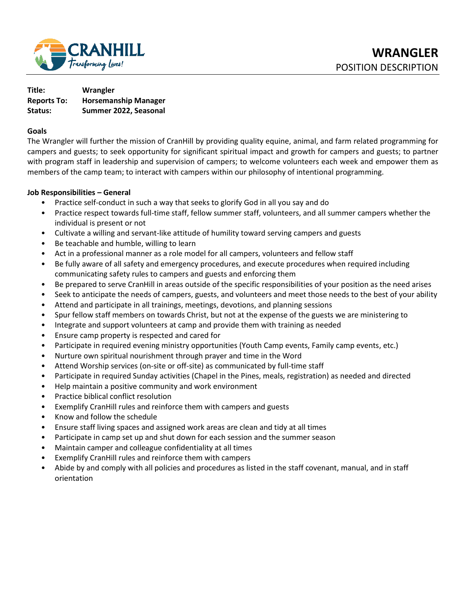

| Title:             | Wrangler                    |
|--------------------|-----------------------------|
| <b>Reports To:</b> | <b>Horsemanship Manager</b> |
| Status:            | Summer 2022, Seasonal       |

#### **Goals**

The Wrangler will further the mission of CranHill by providing quality equine, animal, and farm related programming for campers and guests; to seek opportunity for significant spiritual impact and growth for campers and guests; to partner with program staff in leadership and supervision of campers; to welcome volunteers each week and empower them as members of the camp team; to interact with campers within our philosophy of intentional programming.

#### **Job Responsibilities – General**

- Practice self-conduct in such a way that seeks to glorify God in all you say and do
- Practice respect towards full-time staff, fellow summer staff, volunteers, and all summer campers whether the individual is present or not
- Cultivate a willing and servant-like attitude of humility toward serving campers and guests
- Be teachable and humble, willing to learn
- Act in a professional manner as a role model for all campers, volunteers and fellow staff
- Be fully aware of all safety and emergency procedures, and execute procedures when required including communicating safety rules to campers and guests and enforcing them
- Be prepared to serve CranHill in areas outside of the specific responsibilities of your position as the need arises
- Seek to anticipate the needs of campers, guests, and volunteers and meet those needs to the best of your ability
- Attend and participate in all trainings, meetings, devotions, and planning sessions
- Spur fellow staff members on towards Christ, but not at the expense of the guests we are ministering to
- Integrate and support volunteers at camp and provide them with training as needed
- Ensure camp property is respected and cared for
- Participate in required evening ministry opportunities (Youth Camp events, Family camp events, etc.)
- Nurture own spiritual nourishment through prayer and time in the Word
- Attend Worship services (on-site or off-site) as communicated by full-time staff
- Participate in required Sunday activities (Chapel in the Pines, meals, registration) as needed and directed
- Help maintain a positive community and work environment
- Practice biblical conflict resolution
- Exemplify CranHill rules and reinforce them with campers and guests
- Know and follow the schedule
- Ensure staff living spaces and assigned work areas are clean and tidy at all times
- Participate in camp set up and shut down for each session and the summer season
- Maintain camper and colleague confidentiality at all times
- Exemplify CranHill rules and reinforce them with campers
- Abide by and comply with all policies and procedures as listed in the staff covenant, manual, and in staff orientation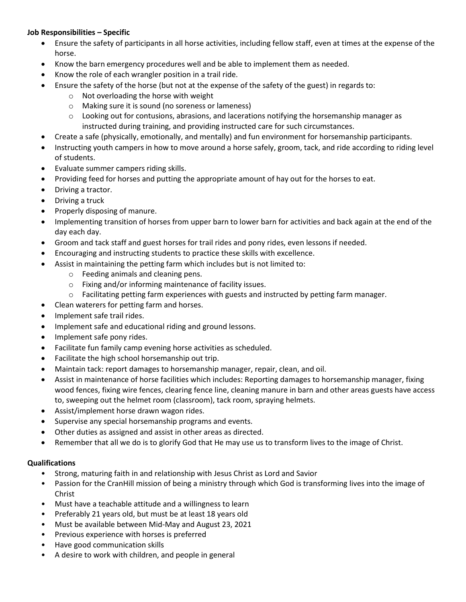### **Job Responsibilities – Specific**

- Ensure the safety of participants in all horse activities, including fellow staff, even at times at the expense of the horse.
- Know the barn emergency procedures well and be able to implement them as needed.
- Know the role of each wrangler position in a trail ride.
- Ensure the safety of the horse (but not at the expense of the safety of the guest) in regards to:
	- o Not overloading the horse with weight
	- o Making sure it is sound (no soreness or lameness)
	- $\circ$  Looking out for contusions, abrasions, and lacerations notifying the horsemanship manager as instructed during training, and providing instructed care for such circumstances.
- Create a safe (physically, emotionally, and mentally) and fun environment for horsemanship participants.
- Instructing youth campers in how to move around a horse safely, groom, tack, and ride according to riding level of students.
- Evaluate summer campers riding skills.
- Providing feed for horses and putting the appropriate amount of hay out for the horses to eat.
- Driving a tractor.
- Driving a truck
- Properly disposing of manure.
- Implementing transition of horses from upper barn to lower barn for activities and back again at the end of the day each day.
- Groom and tack staff and guest horses for trail rides and pony rides, even lessons if needed.
- Encouraging and instructing students to practice these skills with excellence.
- Assist in maintaining the petting farm which includes but is not limited to:
	- o Feeding animals and cleaning pens.
	- o Fixing and/or informing maintenance of facility issues.
	- $\circ$  Facilitating petting farm experiences with guests and instructed by petting farm manager.
- Clean waterers for petting farm and horses.
- Implement safe trail rides.
- Implement safe and educational riding and ground lessons.
- Implement safe pony rides.
- Facilitate fun family camp evening horse activities as scheduled.
- Facilitate the high school horsemanship out trip.
- Maintain tack: report damages to horsemanship manager, repair, clean, and oil.
- Assist in maintenance of horse facilities which includes: Reporting damages to horsemanship manager, fixing wood fences, fixing wire fences, clearing fence line, cleaning manure in barn and other areas guests have access to, sweeping out the helmet room (classroom), tack room, spraying helmets.
- Assist/implement horse drawn wagon rides.
- Supervise any special horsemanship programs and events.
- Other duties as assigned and assist in other areas as directed.
- Remember that all we do is to glorify God that He may use us to transform lives to the image of Christ.

#### **Qualifications**

- Strong, maturing faith in and relationship with Jesus Christ as Lord and Savior
- Passion for the CranHill mission of being a ministry through which God is transforming lives into the image of Christ
- Must have a teachable attitude and a willingness to learn
- Preferably 21 years old, but must be at least 18 years old
- Must be available between Mid-May and August 23, 2021
- Previous experience with horses is preferred
- Have good communication skills
- A desire to work with children, and people in general